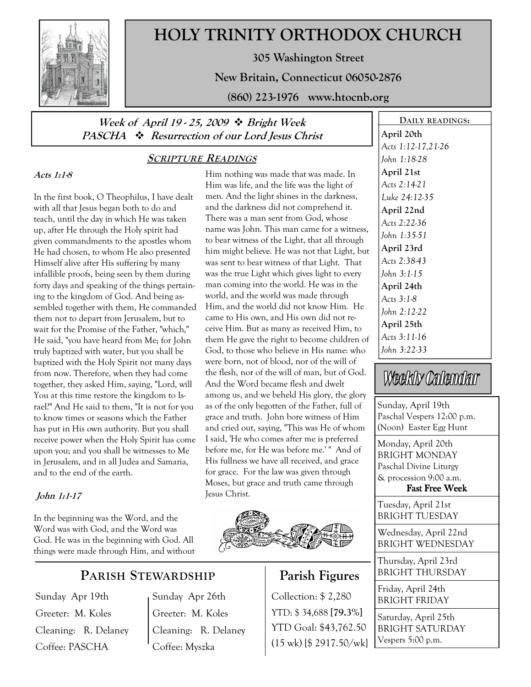

# HOLY TRINITY ORTHODOX CHURCH

305 Washington Street

New Britain, Connecticut 06050-2876

(860) 223-1976 www.htocnb.org

## Week of April 19 - 25, 2009  $\div$  Bright Week PASCHA  $\cdot \cdot$  Resurrection of our Lord Jesus Christ

### SCRIPTURE READINGS

#### Acts 1:1-8

In the first book, O Theophilus, I have dealt with all that Jesus began both to do and teach, until the day in which He was taken up, after He through the Holy spirit had given commandments to the apostles whom He had chosen, to whom He also presented Himself alive after His suffering by many infallible proofs, being seen by them during forty days and speaking of the things pertaining to the kingdom of God. And being assembled together with them, He commanded them not to depart from Jerusalem, but to wait for the Promise of the Father, "which," He said, "you have heard from Me; for John truly baptized with water, but you shall be baptized with the Holy Spirit not many days from now. Therefore, when they had come together, they asked Him, saying, "Lord, will You at this time restore the kingdom to Israel?" And He said to them, "It is not for you to know times or seasons which the Father has put in His own authority. But you shall receive power when the Holy Spirit has come upon you; and you shall be witnesses to Me in Jerusalem, and in all Judea and Samaria, and to the end of the earth.

### John 1:1-17

In the beginning was the Word, and the Word was with God, and the Word was God. He was in the beginning with God. All things were made through Him, and without

# PARISH STEWARDSHIP

Sunday Apr 19th Greeter: M. Koles Cleaning: R. Delaney Coffee: PASCHA

Sunday Apr 26th Greeter: M. Koles Cleaning: R. Delaney Coffee: Myszka

Him nothing was made that was made. In Him was life, and the life was the light of men. And the light shines in the darkness, and the darkness did not comprehend it. There was a man sent from God, whose name was John. This man came for a witness, to bear witness of the Light, that all through him might believe. He was not that Light, but was sent to bear witness of that Light. That was the true Light which gives light to every man coming into the world. He was in the world, and the world was made through Him, and the world did not know Him. He came to His own, and His own did not receive Him. But as many as received Him, to them He gave the right to become children of God, to those who believe in His name: who were born, not of blood, nor of the will of the flesh, nor of the will of man, but of God. And the Word became flesh and dwelt among us, and we beheld His glory, the glory as of the only begotten of the Father, full of grace and truth. John bore witness of Him and cried out, saying, "This was He of whom I said, 'He who comes after me is preferred before me, for He was before me.' " And of His fullness we have all received, and grace for grace. For the law was given through Moses, but grace and truth came through Jesus Christ.



# Parish Figures

Collection: \$ 2,280 BRIGHT FRIDAY YTD: \$ 34,688 [79.3%] YTD Goal: \$43,762.50 (15 wk) [\$ 2917.50/wk]

DAILY READINGS: April 20th Acts 1:12-17,21-26 John 1:18-28 April 21st Acts 2:14-21 Luke 24:12-35 April 22nd Acts 2:22-36 John 1:35-51 April 23rd Acts 2:38-43 John 3:1-15 April 24th Acts 3:1-8 John 2:12-22 April 25th Acts 3:11-16 John 3:22-33

# Weekly Calendar

Sunday, April 19th Paschal Vespers 12:00 p.m. (Noon) Easter Egg Hunt

Monday, April 20th BRIGHT MONDAY Paschal Divine Liturgy & procession 9:00 a.m. Fast Free Week

Tuesday, April 21st BRIGHT TUESDAY

Wednesday, April 22nd BRIGHT WEDNESDAY

Thursday, April 23rd BRIGHT THURSDAY

Friday, April 24th

Saturday, April 25th BRIGHT SATURDAY Vespers 5:00 p.m.